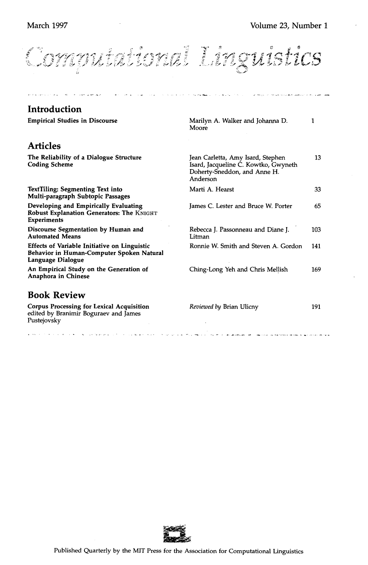Computational Linguistics

| <b>Introduction</b>                                                                                            |                                                                                                                       |     |
|----------------------------------------------------------------------------------------------------------------|-----------------------------------------------------------------------------------------------------------------------|-----|
| <b>Empirical Studies in Discourse</b>                                                                          | Marilyn A. Walker and Johanna D.<br>Moore                                                                             | 1   |
| <b>Articles</b>                                                                                                |                                                                                                                       |     |
| The Reliability of a Dialogue Structure<br><b>Coding Scheme</b>                                                | Jean Carletta, Amy Isard, Stephen<br>Isard, Jacqueline C. Kowtko, Gwyneth<br>Doherty-Sneddon, and Anne H.<br>Anderson | 13  |
| <b>TextTiling: Segmenting Text into</b><br>Multi-paragraph Subtopic Passages                                   | Marti A. Hearst                                                                                                       | 33  |
| Developing and Empirically Evaluating<br>Robust Explanation Generators: The KNIGHT<br><b>Experiments</b>       | James C. Lester and Bruce W. Porter                                                                                   | 65  |
| Discourse Segmentation by Human and<br><b>Automated Means</b>                                                  | Rebecca J. Passonneau and Diane J.<br>Litman                                                                          | 103 |
| Effects of Variable Initiative on Linguistic<br>Behavior in Human-Computer Spoken Natural<br>Language Dialogue | Ronnie W. Smith and Steven A. Gordon                                                                                  | 141 |
| An Empirical Study on the Generation of<br>Anaphora in Chinese                                                 | Ching-Long Yeh and Chris Mellish                                                                                      | 169 |
| <b>Book Review</b>                                                                                             |                                                                                                                       |     |
| Corpus Processing for Lexical Acquisition<br>edited by Branimir Boguraev and James<br>Pustejovsky              | Reviewed by Brian Ulicny                                                                                              | 191 |
|                                                                                                                |                                                                                                                       |     |

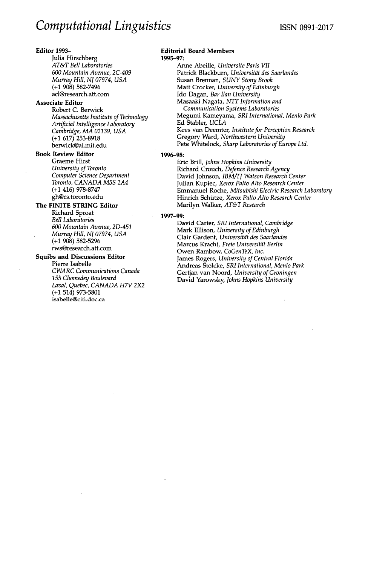# **Editor** 1993-

Julia Hirschberg *AT&T Bell Laboratories 600 Mountain Avenue, 2C-409 Murray Hill, NJ 07974, USA*  **(+1** 908) 582-7496 acl@research.att.com

## **Associate Editor**

Robert C. Berwick *Massachusetts Institu te of Technology Artificial Intelligence Laboratory Cambridge, MA 02139, USA*  **(+1** 617) 253-8918 berwick@ai.mit.edu

# **Book Review Editor**

Graeme Hirst *University of Toronto Computer Science Department Toronto, CANADA M5S 1A4*  (+1 416) 978-8747 gh@cs.toronto.edu

# **The FINITE STRING Editor**

Richard Sproat *Bell Laboratories 600 Mountain Avenue, 2D-451 Murray Hill, NJ 07974, USA*  **(+1** 908) 582-5296 rws@research.att.com

# **Squibs and Discussions Editor**

Pierre Isabelle *CWARC Communications Canada 155 Chomedey Boulevard Laval, Quebec, CANADA H7V 2X2*  (+1 514) 973-5801 isabeUe@citi.doc.ca

# **Editorial Board Members**

1995-97:

Anne Abeille, *Universite Paris VII*  Patrick Blackburn, *Universität des Saarlandes* Susan Brennan, *SUNY Stony Brook*  Matt Crocker, *University of Edinburgh*  Ido Dagan, *Bar Ilan University*  Masaaki Nagata, *NTT Information and Communication Systems Laboratories*  Megumi Kameyama, *SRI International, Menlo Park*  Ed Stabler, *UCLA*  Kees van Deemter, *Institute for Perception Research*  Gregory Ward, *Northwestern University*  Pete Whitelock, *Sharp Laboratories of Europe Ltd.*  1996-98:

> Eric Brill, *Johns Hopkins University*  Richard Crouch, *Defence Research Agency*  David Johnson, *IBM/TJ Watson Research Center*  Julian Kupiec, *Xerox Palto Alto Research Center*  Emmanuel Roche, *Mitsubishi Electric Research Laboratory*  Hinrich Schütze, *Xerox Palto Alto Research Center* Marilyn Walker, *AT&T Research*

### 1997-99:

David Carter, *SRI International, Cambridge*  Mark Ellison, *University of Edinburgh*  Clair Gardent, *Universitdt des Saarlandes*  **Marcus Kracht, Freie Universität Berlin** Owen Rambow, *CoGenTeX, Inc.*  James Rogers, *University of Central Florida*  Andreas Stolcke, *SRI International, Menlo Park*  Gertjan van Noord, *University of Groningen*  David Yarowsky, *Johns Hopkins University*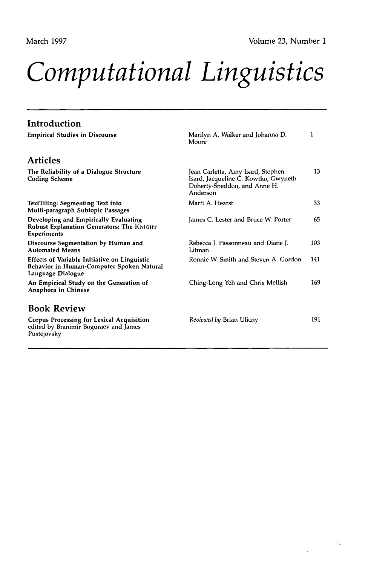$\gamma_{\alpha}$ 

# *Computational Linguistics*

| Introduction                                                                                                          |                                                                                                                       |     |
|-----------------------------------------------------------------------------------------------------------------------|-----------------------------------------------------------------------------------------------------------------------|-----|
| <b>Empirical Studies in Discourse</b>                                                                                 | Marilyn A. Walker and Johanna D.<br>Moore                                                                             | 1   |
| <b>Articles</b>                                                                                                       |                                                                                                                       |     |
| The Reliability of a Dialogue Structure<br><b>Coding Scheme</b>                                                       | Jean Carletta, Amy Isard, Stephen<br>Isard, Jacqueline C. Kowtko, Gwyneth<br>Doherty-Sneddon, and Anne H.<br>Anderson | 13  |
| TextTiling: Segmenting Text into<br>Multi-paragraph Subtopic Passages                                                 | Marti A. Hearst                                                                                                       | 33  |
| Developing and Empirically Evaluating<br>Robust Explanation Generators: The KNIGHT<br><b>Experiments</b>              | James C. Lester and Bruce W. Porter                                                                                   | 65  |
| Discourse Segmentation by Human and<br><b>Automated Means</b>                                                         | Rebecca J. Passonneau and Diane J.<br>Litman                                                                          | 103 |
| <b>Effects of Variable Initiative on Linguistic</b><br>Behavior in Human-Computer Spoken Natural<br>Language Dialogue | Ronnie W. Smith and Steven A. Gordon                                                                                  | 141 |
| An Empirical Study on the Generation of<br>Anaphora in Chinese                                                        | Ching-Long Yeh and Chris Mellish                                                                                      | 169 |
| <b>Book Review</b>                                                                                                    |                                                                                                                       |     |
| <b>Corpus Processing for Lexical Acquisition</b><br>edited by Branimir Boguraev and James<br>Pustejovsky              | <i>Reviewed by Brian Ulicny</i>                                                                                       | 191 |